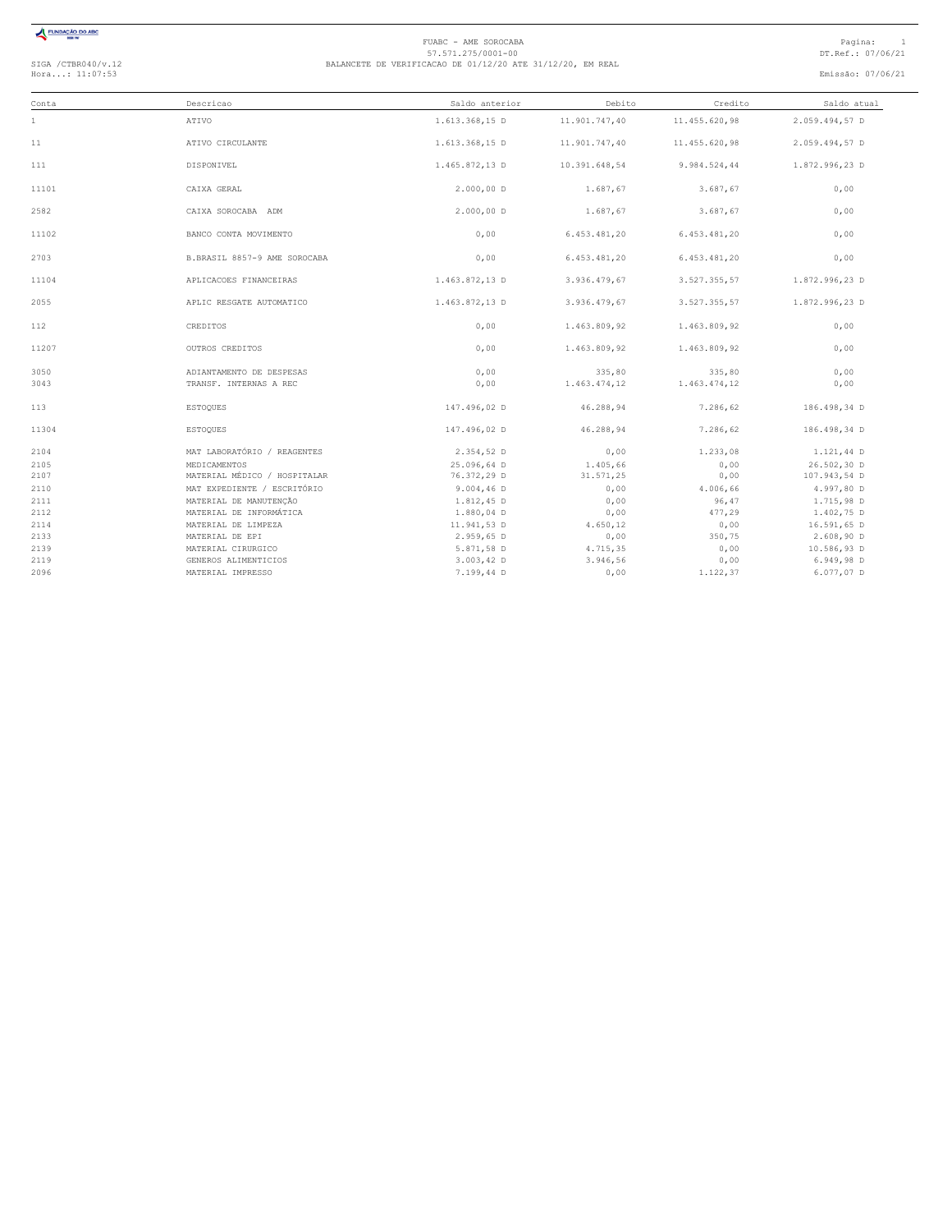

## FUABC - AME SOROCABA<br>57.571.275/0001-00<br>Hora...: 11:07:53 BALANCETE DE VERIFICACAO DE 01/12/20 ATE 31/12/20, EM REAL<br>Hora...: 11:07:53 Emissão: 07/06/21

| Conta        | Descricao                    | Saldo anterior | Debito        | Credito       | Saldo atual    |
|--------------|------------------------------|----------------|---------------|---------------|----------------|
| $\mathbf{1}$ | ATIVO                        | 1.613.368,15 D | 11.901.747,40 | 11.455.620,98 | 2.059.494,57 D |
| 11           | ATIVO CIRCULANTE             | 1.613.368,15 D | 11.901.747,40 | 11.455.620,98 | 2.059.494,57 D |
| 111          | DISPONIVEL                   | 1.465.872,13 D | 10.391.648,54 | 9.984.524,44  | 1.872.996,23 D |
| 11101        | CAIXA GERAL                  | $2.000,00$ D   | 1.687,67      | 3.687,67      | 0,00           |
| 2582         | CAIXA SOROCABA ADM           | $2.000,00$ D   | 1.687,67      | 3.687,67      | 0,00           |
| 11102        | BANCO CONTA MOVIMENTO        | 0,00           | 6.453.481,20  | 6.453.481,20  | 0,00           |
| 2703         | B.BRASIL 8857-9 AME SOROCABA | 0,00           | 6.453.481,20  | 6.453.481,20  | 0,00           |
| 11104        | APLICACOES FINANCEIRAS       | 1.463.872,13 D | 3.936.479,67  | 3.527.355,57  | 1.872.996,23 D |
| 2055         | APLIC RESGATE AUTOMATICO     | 1.463.872,13 D | 3.936.479,67  | 3.527.355,57  | 1.872.996,23 D |
| 112          | CREDITOS                     | 0,00           | 1.463.809,92  | 1.463.809,92  | 0,00           |
| 11207        | OUTROS CREDITOS              | 0,00           | 1.463.809,92  | 1.463.809,92  | 0,00           |
| 3050         | ADIANTAMENTO DE DESPESAS     | 0,00           | 335,80        | 335,80        | 0,00           |
| 3043         | TRANSF. INTERNAS A REC       | 0,00           | 1.463.474,12  | 1.463.474,12  | 0,00           |
| 113          | <b>ESTOQUES</b>              | 147.496,02 D   | 46.288,94     | 7.286,62      | 186.498,34 D   |
| 11304        | <b>ESTOQUES</b>              | 147.496,02 D   | 46.288,94     | 7.286,62      | 186.498,34 D   |
| 2104         | MAT LABORATÓRIO / REAGENTES  | 2.354,52 D     | 0,00          | 1.233,08      | 1.121,44 D     |
| 2105         | MEDICAMENTOS                 | 25.096.64 D    | 1.405,66      | 0,00          | 26.502,30 D    |
| 2107         | MATERIAL MÉDICO / HOSPITALAR | 76.372,29 D    | 31.571,25     | 0,00          | 107.943,54 D   |
| 2110         | MAT EXPEDIENTE / ESCRITÓRIO  | $9.004,46$ D   | 0,00          | 4.006,66      | 4.997,80 D     |
| 2111         | MATERIAL DE MANUTENCÃO       | 1.812,45 D     | 0,00          | 96.47         | 1.715,98 D     |
| 2112         | MATERIAL DE INFORMÁTICA      | 1.880,04 D     | 0,00          | 477,29        | 1.402,75 D     |
| 2114         | MATERIAL DE LIMPEZA          | 11.941,53 D    | 4.650,12      | 0,00          | 16.591,65 D    |
| 2133         | MATERIAL DE EPI              | 2.959,65 D     | 0,00          | 350,75        | $2.608,90$ D   |
| 2139         | MATERIAL CIRURGICO           | 5.871,58 D     | 4.715.35      | 0,00          | 10.586,93 D    |
| 2119         | GENEROS ALIMENTICIOS         | $3.003, 42$ D  | 3.946,56      | 0,00          | 6.949,98 D     |
| 2096         | MATERIAL IMPRESSO            | 7.199,44 D     | 0.00          | 1.122,37      | 6.077,07 D     |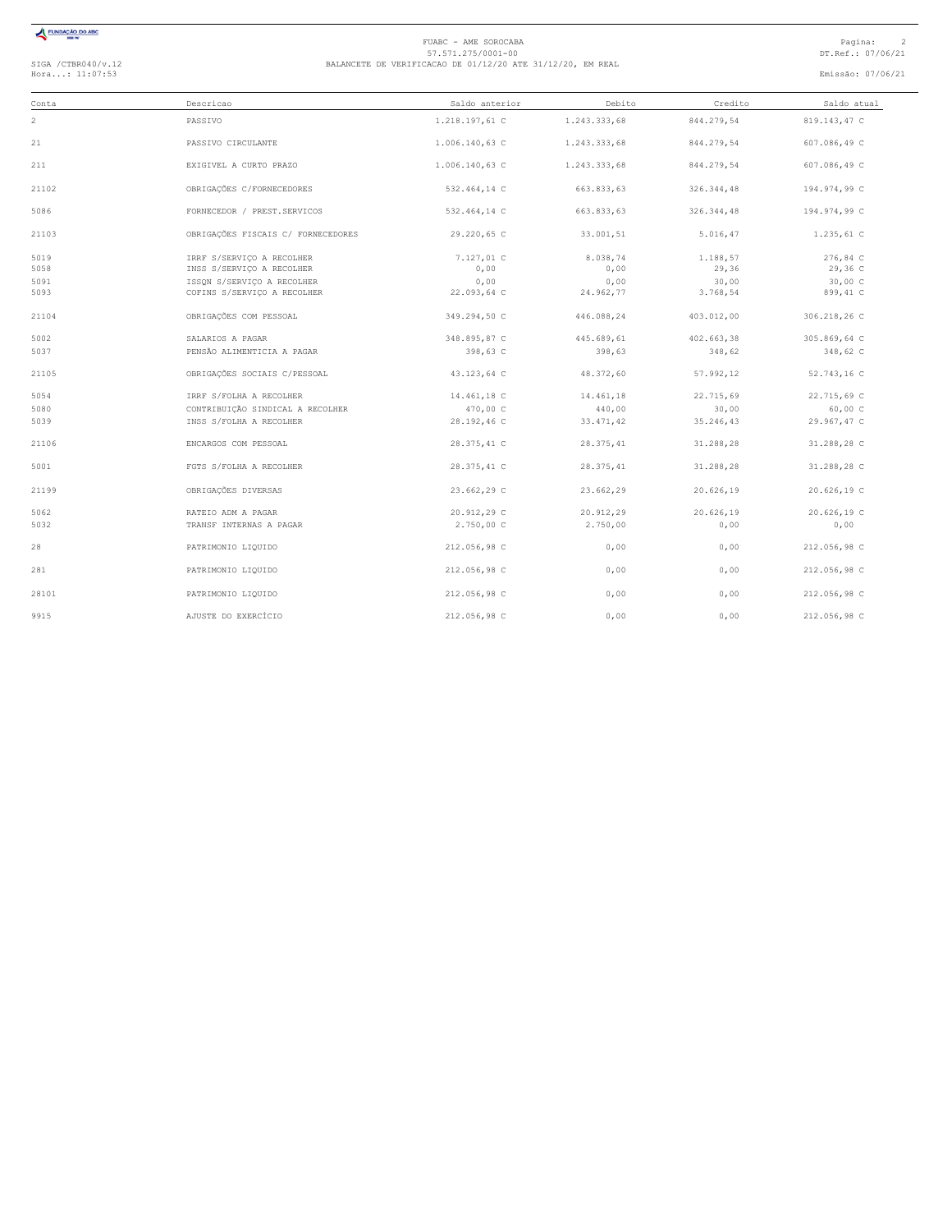

## FUABC - AME SOROCABA<br>57.571.275/0001-00<br>Hora...: 11:07:53 DT.Ref.: 07/06/21<br>Hora...: 11:07:53 Emissão: 07/06/21

| Conta | Descricao                          | Saldo anterior | Debito       | Credito    | Saldo atual  |
|-------|------------------------------------|----------------|--------------|------------|--------------|
| 2     | PASSIVO                            | 1.218.197.61 C | 1.243.333,68 | 844.279.54 | 819.143,47 C |
| 21    | PASSIVO CIRCULANTE                 | 1.006.140,63 C | 1.243.333,68 | 844.279,54 | 607.086,49 C |
| 211   | EXIGIVEL A CURTO PRAZO             | 1.006.140.63C  | 1.243.333,68 | 844.279,54 | 607.086,49 C |
| 21102 | OBRIGAÇÕES C/FORNECEDORES          | 532.464,14 C   | 663.833,63   | 326.344,48 | 194.974,99 C |
| 5086  | FORNECEDOR / PREST.SERVICOS        | 532.464,14 C   | 663.833,63   | 326.344,48 | 194.974,99 C |
| 21103 | OBRIGAÇÕES FISCAIS C/ FORNECEDORES | 29.220,65 C    | 33.001,51    | 5.016,47   | 1.235,61 C   |
| 5019  | IRRF S/SERVICO A RECOLHER          | 7.127,01 C     | 8.038,74     | 1.188,57   | 276,84 C     |
| 5058  | INSS S/SERVICO A RECOLHER          | 0,00           | 0,00         | 29,36      | 29,36 C      |
| 5091  | ISSON S/SERVICO A RECOLHER         | 0,00           | 0,00         | 30,00      | 30,00C       |
| 5093  | COFINS S/SERVIÇO A RECOLHER        | 22.093,64 C    | 24.962,77    | 3.768,54   | 899,41 C     |
| 21104 | OBRIGAÇÕES COM PESSOAL             | 349.294,50 C   | 446.088,24   | 403.012,00 | 306.218,26 C |
| 5002  | SALARIOS A PAGAR                   | 348.895,87 C   | 445.689,61   | 402.663,38 | 305.869,64 C |
| 5037  | PENSÃO ALIMENTICIA A PAGAR         | 398,63 C       | 398,63       | 348,62     | 348,62 C     |
| 21105 | OBRIGAÇÕES SOCIAIS C/PESSOAL       | 43.123,64 C    | 48.372,60    | 57.992,12  | 52.743,16 C  |
| 5054  | IRRF S/FOLHA A RECOLHER            | 14.461,18 C    | 14.461,18    | 22.715,69  | 22.715,69 C  |
| 5080  | CONTRIBUIÇÃO SINDICAL A RECOLHER   | 470,00 C       | 440,00       | 30,00      | 60,00 C      |
| 5039  | INSS S/FOLHA A RECOLHER            | 28.192,46 C    | 33.471,42    | 35.246,43  | 29.967,47 C  |
| 21106 | ENCARGOS COM PESSOAL               | 28.375,41 C    | 28.375,41    | 31.288,28  | 31.288,28 C  |
| 5001  | FGTS S/FOLHA A RECOLHER            | 28.375,41 C    | 28.375,41    | 31.288,28  | 31.288,28 C  |
| 21199 | OBRIGAÇÕES DIVERSAS                | 23.662,29 C    | 23.662,29    | 20.626,19  | 20.626,19 C  |
| 5062  | RATEIO ADM A PAGAR                 | 20.912,29 C    | 20.912,29    | 20.626,19  | 20.626,19 C  |
| 5032  | TRANSF INTERNAS A PAGAR            | 2.750,00 C     | 2.750,00     | 0,00       | 0,00         |
| 28    | PATRIMONIO LIQUIDO                 | 212.056,98 C   | 0,00         | 0,00       | 212.056,98 C |
| 281   | PATRIMONIO LIQUIDO                 | 212.056,98 C   | 0,00         | 0,00       | 212.056,98 C |
| 28101 | PATRIMONIO LIQUIDO                 | 212.056,98 C   | 0,00         | 0,00       | 212.056,98 C |
| 9915  | AJUSTE DO EXERCÍCIO                | 212.056,98 C   | 0,00         | 0,00       | 212.056,98 C |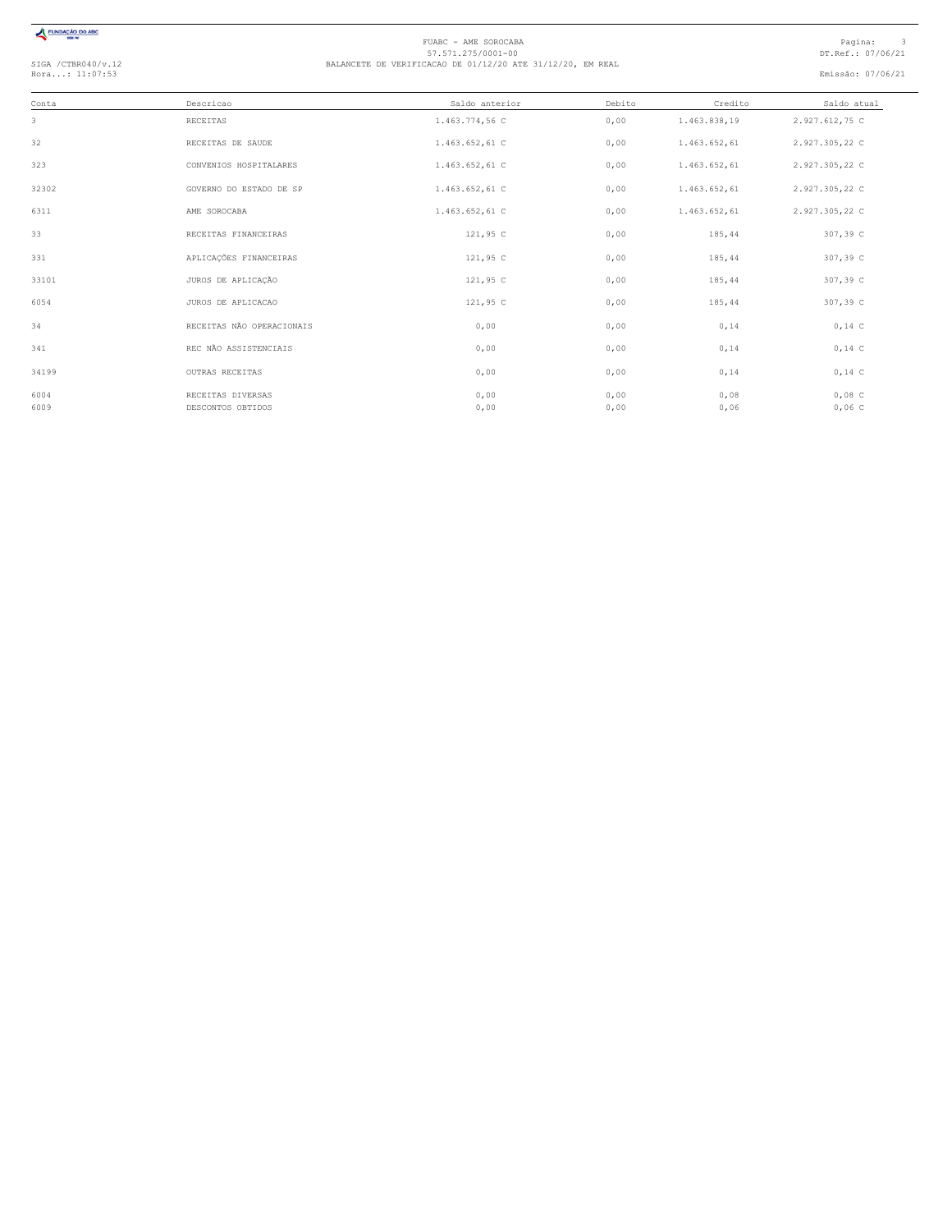

# FUABC - AME SOROCABA<br>57.571.275/0001-00<br>Hora...: 11:07:53 BALANCETE DE VERIFICACAO DE 01/12/20 ATE 31/12/20, EM REAL<br>Hora...: 11:07:53 Emissão: 07/06/21

| Conta | Descricao                 | Saldo anterior | Debito | Credito      | Saldo atual    |
|-------|---------------------------|----------------|--------|--------------|----------------|
| 3     | RECEITAS                  | 1.463.774,56 C | 0,00   | 1.463.838,19 | 2.927.612,75 C |
| 32    | RECEITAS DE SAUDE         | 1.463.652,61 C | 0,00   | 1.463.652,61 | 2.927.305,22 C |
| 323   | CONVENIOS HOSPITALARES    | 1.463.652,61 C | 0,00   | 1.463.652,61 | 2.927.305,22 C |
| 32302 | GOVERNO DO ESTADO DE SP   | 1.463.652,61 C | 0,00   | 1.463.652,61 | 2.927.305,22 C |
| 6311  | AME SOROCABA              | 1.463.652,61 C | 0,00   | 1.463.652,61 | 2.927.305,22 C |
| 33    | RECEITAS FINANCEIRAS      | 121,95 C       | 0,00   | 185,44       | 307,39 C       |
| 331   | APLICAÇÕES FINANCEIRAS    | 121,95 C       | 0,00   | 185,44       | 307,39 C       |
| 33101 | JUROS DE APLICAÇÃO        | 121,95 C       | 0,00   | 185,44       | 307,39 C       |
| 6054  | JUROS DE APLICACAO        | 121,95 C       | 0,00   | 185,44       | 307,39 C       |
| 34    | RECEITAS NÃO OPERACIONAIS | 0,00           | 0,00   | 0, 14        | $0,14$ C       |
| 341   | REC NÃO ASSISTENCIAIS     | 0,00           | 0,00   | 0, 14        | $0,14$ C       |
| 34199 | OUTRAS RECEITAS           | 0,00           | 0,00   | 0, 14        | $0,14$ C       |
| 6004  | RECEITAS DIVERSAS         | 0,00           | 0,00   | 0,08         | $0,08$ C       |
| 6009  | DESCONTOS OBTIDOS         | 0,00           | 0,00   | 0,06         | 0,06C          |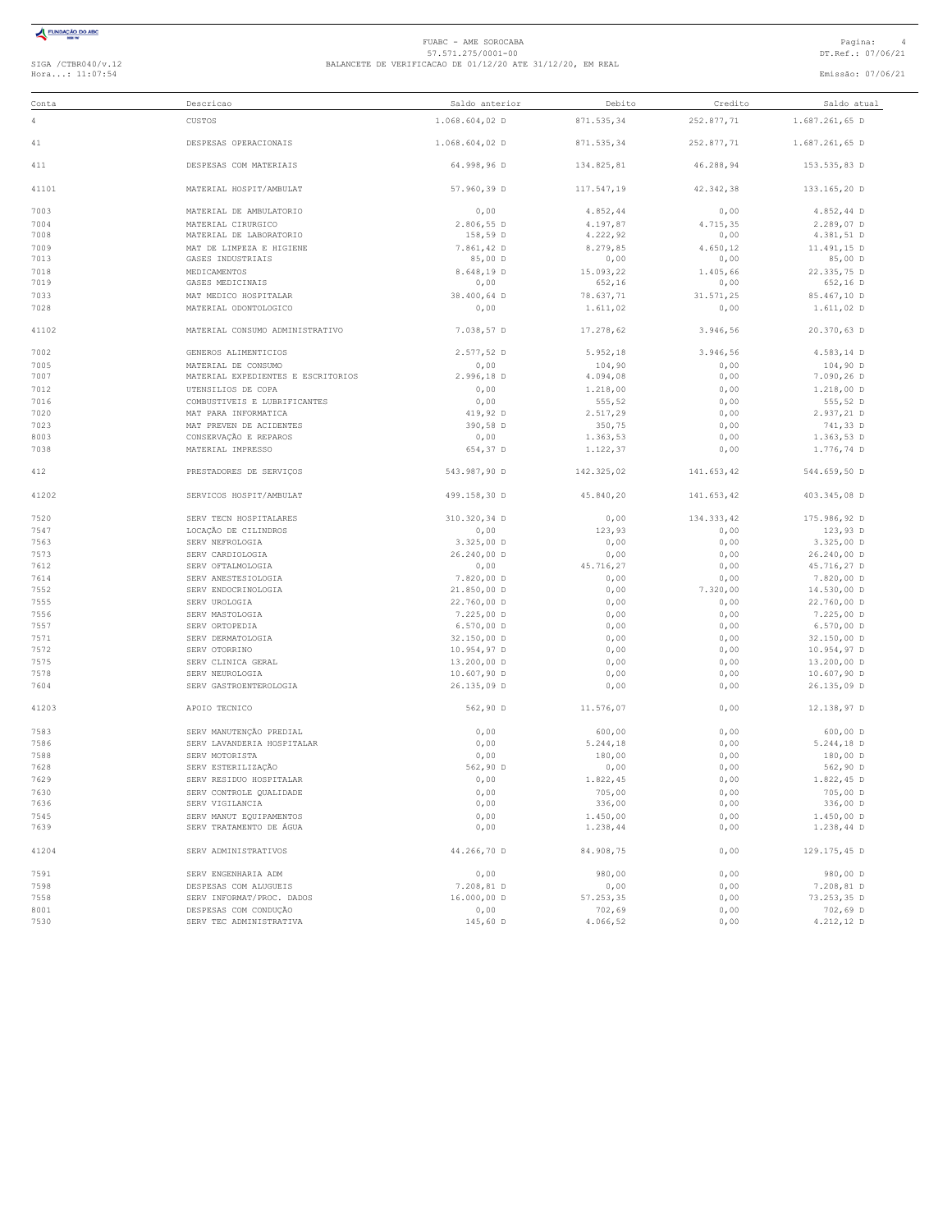

#### FUABC - AME SOROCABA<br>57.571.275/0001-00<br>Hora...: 11:07:54 DT.Ref.: 07/06/21<br>Hora...: 11:07:54 Emissão: 07/06/21

| Conta        | Descricao                                          | Saldo anterior | Debito               | Credito      | Saldo atual                |  |
|--------------|----------------------------------------------------|----------------|----------------------|--------------|----------------------------|--|
| 4            | <b>CUSTOS</b>                                      | 1.068.604,02 D | 871.535,34           | 252.877,71   | 1.687.261,65 D             |  |
| 41           | DESPESAS OPERACIONAIS                              | 1.068.604,02 D | 871.535,34           | 252.877,71   | 1.687.261,65 D             |  |
| 411          | DESPESAS COM MATERIAIS                             | 64.998,96 D    | 134.825,81           | 46.288,94    | 153.535,83 D               |  |
| 41101        | MATERIAL HOSPIT/AMBULAT                            | 57.960,39 D    | 117.547,19           | 42.342,38    | 133.165,20 D               |  |
| 7003         | MATERIAL DE AMBULATORIO                            | 0,00           | 4.852,44             | 0,00         | $4.852, 44$ D              |  |
| 7004         | MATERIAL CIRURGICO                                 | 2.806,55 D     | 4.197,87             | 4.715,35     | 2.289,07 D                 |  |
| 7008         | MATERIAL DE LABORATORIO                            | 158,59 D       | 4.222,92             | 0,00         | 4.381,51 D                 |  |
| 7009         | MAT DE LIMPEZA E HIGIENE                           | 7.861,42 D     | 8.279,85             | 4.650,12     | 11,491,15 D                |  |
| 7013         | GASES INDUSTRIAIS                                  | 85,00 D        | 0,00                 | 0,00         | 85,00 D                    |  |
| 7018         | MEDICAMENTOS                                       | 8.648,19 D     | 15.093,22            | 1.405,66     | 22.335,75 D                |  |
| 7019         | GASES MEDICINAIS                                   | 0,00           | 652,16               | 0,00         | 652,16 D                   |  |
| 7033         | MAT MEDICO HOSPITALAR                              | 38.400,64 D    | 78.637,71            | 31.571,25    | 85.467,10 D                |  |
| 7028         | MATERIAL ODONTOLOGICO                              | 0,00           | 1.611,02             | 0,00         | 1.611,02 D                 |  |
| 41102        | MATERIAL CONSUMO ADMINISTRATIVO                    | 7.038,57 D     | 17.278,62            | 3.946,56     | 20.370,63 D                |  |
|              |                                                    |                |                      |              |                            |  |
| 7002         | GENEROS ALIMENTICIOS                               | 2.577,52 D     | 5.952,18             | 3.946,56     | $4.583, 14$ D              |  |
| 7005         | MATERIAL DE CONSUMO                                | 0,00           | 104,90               | 0,00         | 104,90 D                   |  |
| 7007         | MATERIAL EXPEDIENTES E ESCRITORIOS                 | 2.996,18 D     | 4.094,08             | 0,00         | 7.090,26 D                 |  |
| 7012         | UTENSILIOS DE COPA                                 | 0,00           | 1.218,00             | 0,00         | 1.218,00 D                 |  |
| 7016         | COMBUSTIVEIS E LUBRIFICANTES                       | 0,00           | 555,52               | 0,00         | 555,52 D                   |  |
| 7020         | MAT PARA INFORMATICA                               | 419,92 D       | 2.517,29             | 0,00         | 2.937,21 D                 |  |
| 7023         | MAT PREVEN DE ACIDENTES                            | 390,58 D       | 350,75               | 0,00         | 741,33 D                   |  |
| 8003         | CONSERVAÇÃO E REPAROS                              | 0,00           | 1.363,53             | 0,00         | $1.363,53$ D               |  |
| 7038         | MATERIAL IMPRESSO                                  | 654,37 D       | 1.122,37             | 0,00         | 1.776,74 D                 |  |
| 412          | PRESTADORES DE SERVIÇOS                            | 543.987,90 D   | 142.325,02           | 141.653,42   | 544.659,50 D               |  |
| 41202        | SERVICOS HOSPIT/AMBULAT                            | 499.158,30 D   | 45.840,20            | 141.653,42   | 403.345,08 D               |  |
|              |                                                    |                |                      |              |                            |  |
| 7520         | SERV TECN HOSPITALARES                             | 310.320,34 D   | 0,00                 | 134.333,42   | 175.986,92 D               |  |
| 7547         | LOCAÇÃO DE CILINDROS                               | 0,00           | 123,93               | 0,00         | 123,93 D                   |  |
| 7563         | SERV NEFROLOGIA                                    | $3.325,00$ D   | 0,00                 | 0,00         | $3.325,00$ D               |  |
| 7573         | SERV CARDIOLOGIA                                   | 26.240,00 D    | 0,00                 | 0,00         | 26.240,00 D                |  |
| 7612         | SERV OFTALMOLOGIA                                  | 0,00           | 45.716,27            | 0,00         | 45.716,27 D                |  |
| 7614         | SERV ANESTESIOLOGIA                                | 7.820,00 D     | 0,00                 | 0,00         | 7.820,00 D                 |  |
| 7552         | SERV ENDOCRINOLOGIA                                | 21.850,00 D    | 0,00                 | 7.320,00     | 14.530,00 D                |  |
| 7555         | SERV UROLOGIA                                      | 22.760,00 D    | 0,00                 | 0,00         | 22.760,00 D                |  |
| 7556         | SERV MASTOLOGIA                                    | $7.225,00$ D   | 0,00                 | 0,00         | $7.225,00$ D               |  |
| 7557         | SERV ORTOPEDIA                                     | $6.570,00$ D   | 0,00                 | 0,00         | $6.570,00$ D               |  |
| 7571         | SERV DERMATOLOGIA                                  | 32.150,00 D    | 0,00                 | 0,00         | 32.150,00 D                |  |
| 7572         | SERV OTORRINO                                      | 10.954,97 D    | 0,00                 | 0,00         | 10.954,97 D                |  |
| 7575         | SERV CLINICA GERAL                                 | 13.200,00 D    | 0,00                 | 0,00         | 13.200,00 D                |  |
| 7578         | SERV NEUROLOGIA                                    | 10.607,90 D    | 0,00                 | 0,00         | $10.607,90$ D              |  |
| 7604         | SERV GASTROENTEROLOGIA                             | 26.135,09 D    | 0,00                 | 0,00         | 26.135,09 D                |  |
| 41203        | APOIO TECNICO                                      | 562,90 D       | 11.576,07            | 0,00         | 12.138,97 D                |  |
|              |                                                    |                |                      |              |                            |  |
| 7583<br>7586 | SERV MANUTENÇÃO PREDIAL                            | 0,00           | 600,00               | 0,00         | 600,00 D<br>5.244,18 D     |  |
|              | SERV LAVANDERIA HOSPITALAR                         | 0,00           | 5.244,18             | 0,00         |                            |  |
| 7588         | SERV MOTORISTA                                     | 0,00           | 180,00               | 0,00         | 180,00 D                   |  |
| 7628         | SERV ESTERILIZAÇÃO                                 | 562,90 D       | 0,00                 | 0,00         | 562,90 D                   |  |
| 7629         | SERV RESIDUO HOSPITALAR                            | 0,00           | 1.822,45             | 0,00         | $1.822, 45$ D              |  |
| 7630         | SERV CONTROLE QUALIDADE                            | 0,00           | 705,00               | 0,00         | 705,00 D                   |  |
| 7636         | SERV VIGILANCIA                                    | 0,00           | 336,00               | 0,00         | 336,00 D                   |  |
| 7545<br>7639 | SERV MANUT EQUIPAMENTOS<br>SERV TRATAMENTO DE ÁGUA | 0,00<br>0,00   | 1.450,00<br>1.238,44 | 0,00<br>0,00 | $1.450,00$ D<br>1.238,44 D |  |
| 41204        | SERV ADMINISTRATIVOS                               | 44.266,70 D    | 84.908,75            | 0,00         | 129.175,45 D               |  |
|              |                                                    |                |                      |              |                            |  |
| 7591         | SERV ENGENHARIA ADM                                | 0,00           | 980,00               | 0,00         | 980,00 D                   |  |
| 7598         | DESPESAS COM ALUGUEIS                              | 7.208,81 D     | 0,00                 | 0,00         | 7.208,81 D                 |  |
| 7558         | SERV INFORMAT/PROC. DADOS                          | 16.000,00 D    | 57.253,35            | 0,00         | 73.253,35 D                |  |
| 8001         | DESPESAS COM CONDUÇÃO                              | 0,00           | 702,69               | 0,00         | 702,69 D                   |  |
| 7530         | SERV TEC ADMINISTRATIVA                            | 145,60 D       | 4.066,52             | 0,00         | 4.212,12 D                 |  |